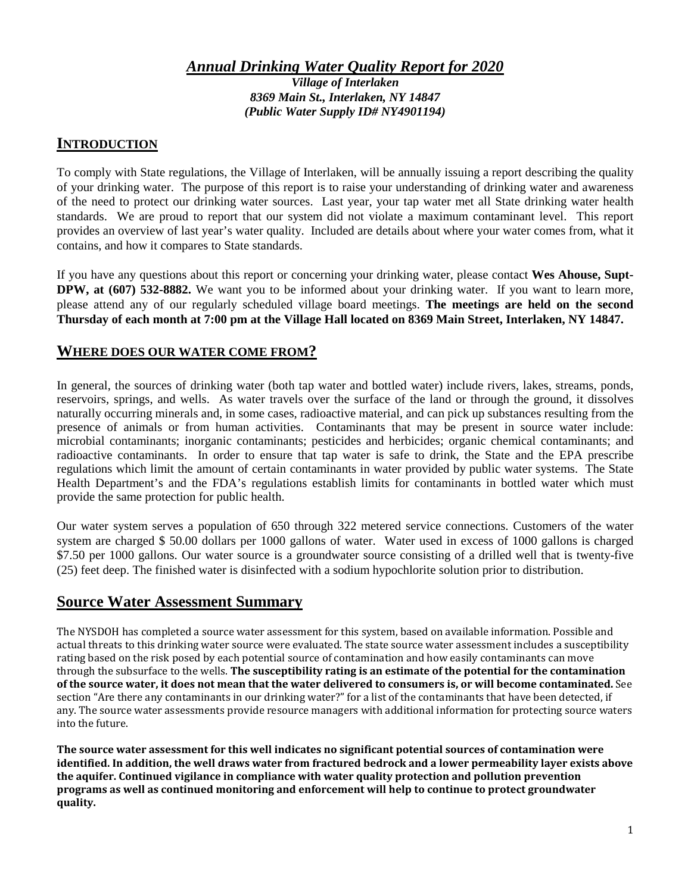*Annual Drinking Water Quality Report for 2020*

*Village of Interlaken 8369 Main St., Interlaken, NY 14847 (Public Water Supply ID# NY4901194)*

# **INTRODUCTION**

To comply with State regulations, the Village of Interlaken, will be annually issuing a report describing the quality of your drinking water. The purpose of this report is to raise your understanding of drinking water and awareness of the need to protect our drinking water sources. Last year, your tap water met all State drinking water health standards. We are proud to report that our system did not violate a maximum contaminant level. This report provides an overview of last year's water quality. Included are details about where your water comes from, what it contains, and how it compares to State standards.

If you have any questions about this report or concerning your drinking water, please contact **Wes Ahouse, Supt-DPW, at (607) 532-8882.** We want you to be informed about your drinking water. If you want to learn more, please attend any of our regularly scheduled village board meetings. **The meetings are held on the second Thursday of each month at 7:00 pm at the Village Hall located on 8369 Main Street, Interlaken, NY 14847.**

## **WHERE DOES OUR WATER COME FROM?**

In general, the sources of drinking water (both tap water and bottled water) include rivers, lakes, streams, ponds, reservoirs, springs, and wells. As water travels over the surface of the land or through the ground, it dissolves naturally occurring minerals and, in some cases, radioactive material, and can pick up substances resulting from the presence of animals or from human activities. Contaminants that may be present in source water include: microbial contaminants; inorganic contaminants; pesticides and herbicides; organic chemical contaminants; and radioactive contaminants. In order to ensure that tap water is safe to drink, the State and the EPA prescribe regulations which limit the amount of certain contaminants in water provided by public water systems. The State Health Department's and the FDA's regulations establish limits for contaminants in bottled water which must provide the same protection for public health.

Our water system serves a population of 650 through 322 metered service connections. Customers of the water system are charged \$ 50.00 dollars per 1000 gallons of water. Water used in excess of 1000 gallons is charged \$7.50 per 1000 gallons. Our water source is a groundwater source consisting of a drilled well that is twenty-five (25) feet deep. The finished water is disinfected with a sodium hypochlorite solution prior to distribution.

# **Source Water Assessment Summary**

The NYSDOH has completed a source water assessment for this system, based on available information. Possible and actual threats to this drinking water source were evaluated. The state source water assessment includes a susceptibility rating based on the risk posed by each potential source of contamination and how easily contaminants can move through the subsurface to the wells. **The susceptibility rating is an estimate of the potential for the contamination of the source water, it does not mean that the water delivered to consumers is, or will become contaminated.** See section "Are there any contaminants in our drinking water?" for a list of the contaminants that have been detected, if any. The source water assessments provide resource managers with additional information for protecting source waters into the future.

**The source water assessment for this well indicates no significant potential sources of contamination were identified. In addition, the well draws water from fractured bedrock and a lower permeability layer exists above the aquifer. Continued vigilance in compliance with water quality protection and pollution prevention programs as well as continued monitoring and enforcement will help to continue to protect groundwater quality.**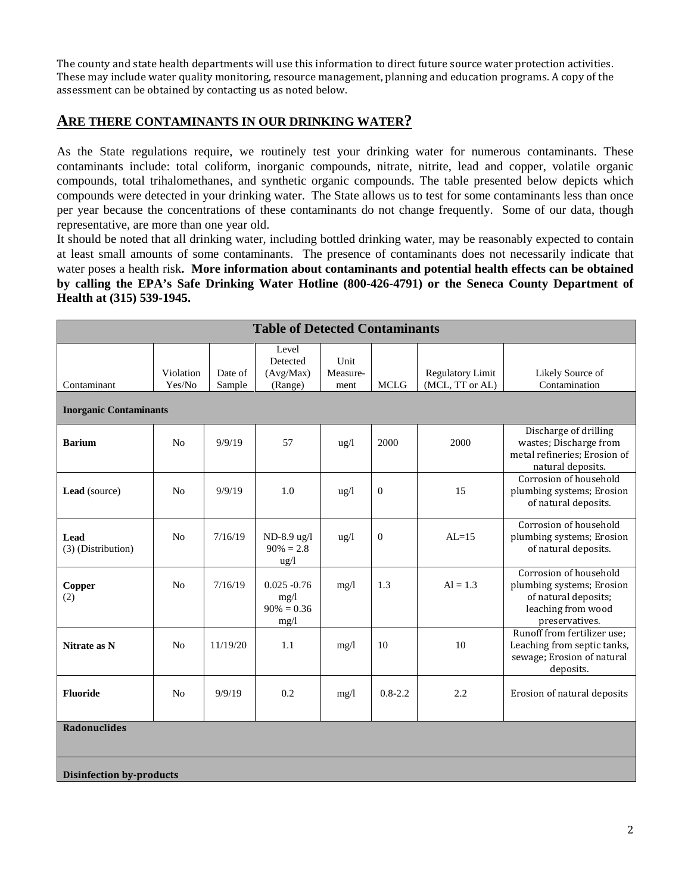The county and state health departments will use this information to direct future source water protection activities. These may include water quality monitoring, resource management, planning and education programs. A copy of the assessment can be obtained by contacting us as noted below.

#### **ARE THERE CONTAMINANTS IN OUR DRINKING WATER?**

As the State regulations require, we routinely test your drinking water for numerous contaminants. These contaminants include: total coliform, inorganic compounds, nitrate, nitrite, lead and copper, volatile organic compounds, total trihalomethanes, and synthetic organic compounds. The table presented below depicts which compounds were detected in your drinking water. The State allows us to test for some contaminants less than once per year because the concentrations of these contaminants do not change frequently. Some of our data, though representative, are more than one year old.

It should be noted that all drinking water, including bottled drinking water, may be reasonably expected to contain at least small amounts of some contaminants. The presence of contaminants does not necessarily indicate that water poses a health risk**. More information about contaminants and potential health effects can be obtained by calling the EPA's Safe Drinking Water Hotline (800-426-4791) or the Seneca County Department of Health at (315) 539-1945.**

| <b>Table of Detected Contaminants</b> |                     |                   |                                                 |                          |                  |                                            |                                                                                                                     |  |  |  |  |
|---------------------------------------|---------------------|-------------------|-------------------------------------------------|--------------------------|------------------|--------------------------------------------|---------------------------------------------------------------------------------------------------------------------|--|--|--|--|
| Contaminant                           | Violation<br>Yes/No | Date of<br>Sample | Level<br>Detected<br>(Avg/Max)<br>(Range)       | Unit<br>Measure-<br>ment | <b>MCLG</b>      | <b>Regulatory Limit</b><br>(MCL, TT or AL) | Likely Source of<br>Contamination                                                                                   |  |  |  |  |
| <b>Inorganic Contaminants</b>         |                     |                   |                                                 |                          |                  |                                            |                                                                                                                     |  |  |  |  |
| <b>Barium</b>                         | No                  | 9/9/19            | 57                                              | $\frac{u g}{l}$          | 2000             | 2000                                       | Discharge of drilling<br>wastes; Discharge from<br>metal refineries; Erosion of<br>natural deposits.                |  |  |  |  |
| Lead (source)                         | N <sub>0</sub>      | 9/9/19            | 1.0                                             | $\frac{u g}{l}$          | $\boldsymbol{0}$ | 15                                         | Corrosion of household<br>plumbing systems; Erosion<br>of natural deposits.                                         |  |  |  |  |
| Lead<br>(3) (Distribution)            | No                  | 7/16/19           | ND-8.9 ug/l<br>$90\% = 2.8$<br>ug/l             | $\frac{u g}{l}$          | $\theta$         | $AI = 15$                                  | Corrosion of household<br>plumbing systems; Erosion<br>of natural deposits.                                         |  |  |  |  |
| Copper<br>(2)                         | N <sub>o</sub>      | 7/16/19           | $0.025 - 0.76$<br>mg/1<br>$90\% = 0.36$<br>mg/l | mg/1                     | 1.3              | $Al = 1.3$                                 | Corrosion of household<br>plumbing systems; Erosion<br>of natural deposits;<br>leaching from wood<br>preservatives. |  |  |  |  |
| Nitrate as N                          | N <sub>o</sub>      | 11/19/20          | 1.1                                             | mg/1                     | 10               | 10                                         | Runoff from fertilizer use;<br>Leaching from septic tanks,<br>sewage; Erosion of natural<br>deposits.               |  |  |  |  |
| <b>Fluoride</b>                       | N <sub>o</sub>      | 9/9/19            | 0.2                                             | mg/1                     | $0.8 - 2.2$      | 2.2                                        | Erosion of natural deposits                                                                                         |  |  |  |  |
| <b>Radonuclides</b>                   |                     |                   |                                                 |                          |                  |                                            |                                                                                                                     |  |  |  |  |
| <b>Disinfection by-products</b>       |                     |                   |                                                 |                          |                  |                                            |                                                                                                                     |  |  |  |  |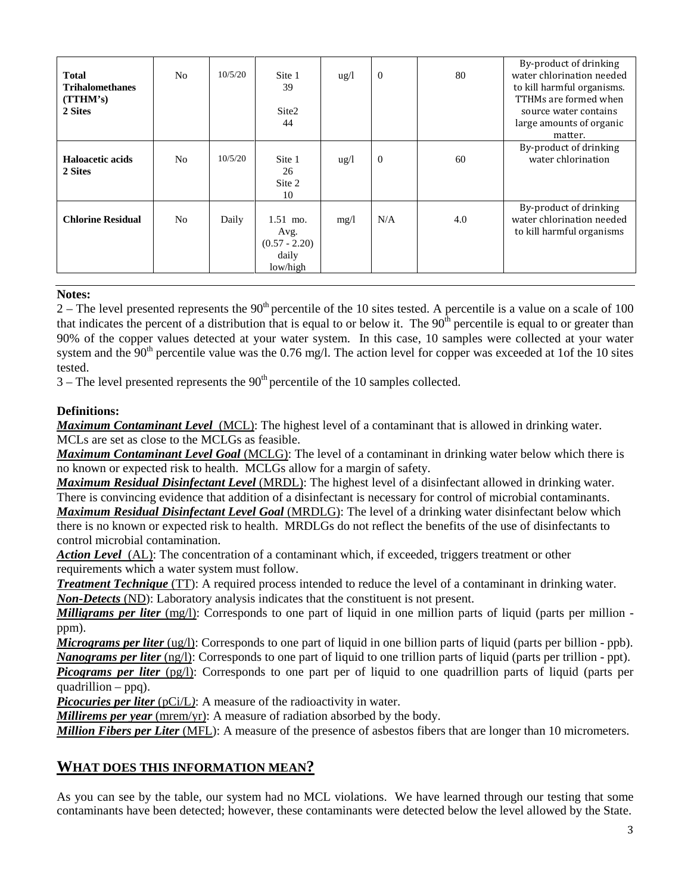| <b>Total</b><br><b>Trihalomethanes</b><br>(TTHM's)<br>2 Sites | N <sub>0</sub> | 10/5/20 | Site 1<br>39<br>Site <sub>2</sub><br>44                    | $\frac{u g}{l}$ | $\theta$ | 80  | By-product of drinking<br>water chlorination needed<br>to kill harmful organisms.<br>TTHMs are formed when<br>source water contains<br>large amounts of organic<br>matter. |
|---------------------------------------------------------------|----------------|---------|------------------------------------------------------------|-----------------|----------|-----|----------------------------------------------------------------------------------------------------------------------------------------------------------------------------|
| Haloacetic acids<br>2 Sites                                   | N <sub>0</sub> | 10/5/20 | Site 1<br>26<br>Site 2<br>10                               | $\frac{u g}{l}$ | $\theta$ | 60  | By-product of drinking<br>water chlorination                                                                                                                               |
| <b>Chlorine Residual</b>                                      | N <sub>o</sub> | Daily   | $1.51$ mo.<br>Avg.<br>$(0.57 - 2.20)$<br>daily<br>low/high | mg/l            | N/A      | 4.0 | By-product of drinking<br>water chlorination needed<br>to kill harmful organisms                                                                                           |

#### **Notes:**

 $2 -$  The level presented represents the 90<sup>th</sup> percentile of the 10 sites tested. A percentile is a value on a scale of 100 that indicates the percent of a distribution that is equal to or below it. The  $90<sup>th</sup>$  percentile is equal to or greater than 90% of the copper values detected at your water system. In this case, 10 samples were collected at your water system and the  $90<sup>th</sup>$  percentile value was the 0.76 mg/l. The action level for copper was exceeded at 1of the 10 sites tested.

 $3$  – The level presented represents the  $90<sup>th</sup>$  percentile of the 10 samples collected.

#### **Definitions:**

*Maximum Contaminant Level*(MCL): The highest level of a contaminant that is allowed in drinking water. MCLs are set as close to the MCLGs as feasible.

*Maximum Contaminant Level Goal* (MCLG): The level of a contaminant in drinking water below which there is no known or expected risk to health. MCLGs allow for a margin of safety.

*Maximum Residual Disinfectant Level* (MRDL): The highest level of a disinfectant allowed in drinking water. There is convincing evidence that addition of a disinfectant is necessary for control of microbial contaminants.

*Maximum Residual Disinfectant Level Goal* (MRDLG): The level of a drinking water disinfectant below which there is no known or expected risk to health. MRDLGs do not reflect the benefits of the use of disinfectants to control microbial contamination.

*Action Level*(AL): The concentration of a contaminant which, if exceeded, triggers treatment or other requirements which a water system must follow.

*Treatment Technique* (TT): A required process intended to reduce the level of a contaminant in drinking water. *Non-Detects* (ND): Laboratory analysis indicates that the constituent is not present.

*Milligrams per liter* (mg/l): Corresponds to one part of liquid in one million parts of liquid (parts per million ppm).

*Micrograms per liter* (ug/l): Corresponds to one part of liquid in one billion parts of liquid (parts per billion - ppb). *Nanograms per liter* (ng/l): Corresponds to one part of liquid to one trillion parts of liquid (parts per trillion - ppt).

*Picograms per liter* (pg/l): Corresponds to one part per of liquid to one quadrillion parts of liquid (parts per quadrillion – ppq).

*Picocuries per liter* (pCi/L): A measure of the radioactivity in water.

*Millirems per year* (mrem/yr): A measure of radiation absorbed by the body.

*Million Fibers per Liter* (MFL): A measure of the presence of asbestos fibers that are longer than 10 micrometers.

### **WHAT DOES THIS INFORMATION MEAN?**

As you can see by the table, our system had no MCL violations. We have learned through our testing that some contaminants have been detected; however, these contaminants were detected below the level allowed by the State.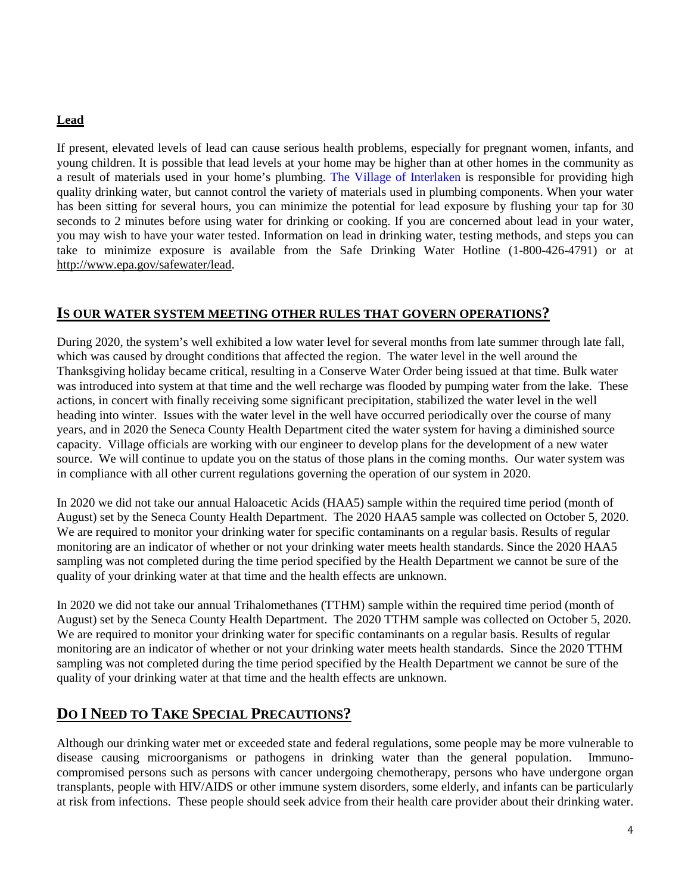#### **Lead**

If present, elevated levels of lead can cause serious health problems, especially for pregnant women, infants, and young children. It is possible that lead levels at your home may be higher than at other homes in the community as a result of materials used in your home's plumbing. The Village of Interlaken is responsible for providing high quality drinking water, but cannot control the variety of materials used in plumbing components. When your water has been sitting for several hours, you can minimize the potential for lead exposure by flushing your tap for 30 seconds to 2 minutes before using water for drinking or cooking. If you are concerned about lead in your water, you may wish to have your water tested. Information on lead in drinking water, testing methods, and steps you can take to minimize exposure is available from the Safe Drinking Water Hotline (1-800-426-4791) or at http://www.epa.gov/safewater/lead.

### **IS OUR WATER SYSTEM MEETING OTHER RULES THAT GOVERN OPERATIONS?**

During 2020, the system's well exhibited a low water level for several months from late summer through late fall, which was caused by drought conditions that affected the region. The water level in the well around the Thanksgiving holiday became critical, resulting in a Conserve Water Order being issued at that time. Bulk water was introduced into system at that time and the well recharge was flooded by pumping water from the lake. These actions, in concert with finally receiving some significant precipitation, stabilized the water level in the well heading into winter. Issues with the water level in the well have occurred periodically over the course of many years, and in 2020 the Seneca County Health Department cited the water system for having a diminished source capacity. Village officials are working with our engineer to develop plans for the development of a new water source. We will continue to update you on the status of those plans in the coming months. Our water system was in compliance with all other current regulations governing the operation of our system in 2020.

In 2020 we did not take our annual Haloacetic Acids (HAA5) sample within the required time period (month of August) set by the Seneca County Health Department. The 2020 HAA5 sample was collected on October 5, 2020. We are required to monitor your drinking water for specific contaminants on a regular basis. Results of regular monitoring are an indicator of whether or not your drinking water meets health standards. Since the 2020 HAA5 sampling was not completed during the time period specified by the Health Department we cannot be sure of the quality of your drinking water at that time and the health effects are unknown.

In 2020 we did not take our annual Trihalomethanes (TTHM) sample within the required time period (month of August) set by the Seneca County Health Department. The 2020 TTHM sample was collected on October 5, 2020. We are required to monitor your drinking water for specific contaminants on a regular basis. Results of regular monitoring are an indicator of whether or not your drinking water meets health standards. Since the 2020 TTHM sampling was not completed during the time period specified by the Health Department we cannot be sure of the quality of your drinking water at that time and the health effects are unknown.

# **DO I NEED TO TAKE SPECIAL PRECAUTIONS?**

Although our drinking water met or exceeded state and federal regulations, some people may be more vulnerable to disease causing microorganisms or pathogens in drinking water than the general population. Immunocompromised persons such as persons with cancer undergoing chemotherapy, persons who have undergone organ transplants, people with HIV/AIDS or other immune system disorders, some elderly, and infants can be particularly at risk from infections. These people should seek advice from their health care provider about their drinking water.